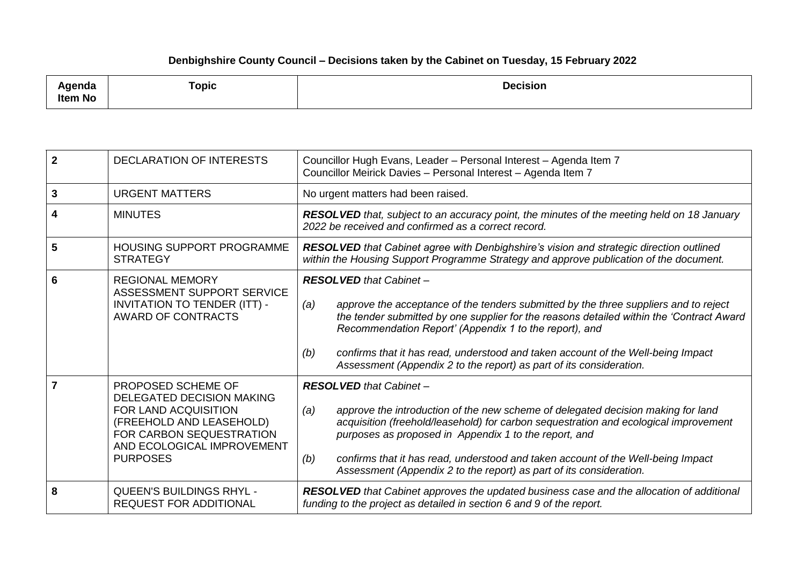## **Denbighshire County Council – Decisions taken by the Cabinet on Tuesday, 15 February 2022**

| د ام مرمز بم ا<br>nua<br><b>Item No</b> | Topic | <b>Decision</b><br>. |
|-----------------------------------------|-------|----------------------|
|-----------------------------------------|-------|----------------------|

| $\overline{2}$ | <b>DECLARATION OF INTERESTS</b>                                                                                                                                                  | Councillor Hugh Evans, Leader - Personal Interest - Agenda Item 7<br>Councillor Meirick Davies - Personal Interest - Agenda Item 7                                                                                                                                                                                                                                                                                                                    |
|----------------|----------------------------------------------------------------------------------------------------------------------------------------------------------------------------------|-------------------------------------------------------------------------------------------------------------------------------------------------------------------------------------------------------------------------------------------------------------------------------------------------------------------------------------------------------------------------------------------------------------------------------------------------------|
| 3              | <b>URGENT MATTERS</b>                                                                                                                                                            | No urgent matters had been raised.                                                                                                                                                                                                                                                                                                                                                                                                                    |
| 4              | <b>MINUTES</b>                                                                                                                                                                   | <b>RESOLVED</b> that, subject to an accuracy point, the minutes of the meeting held on 18 January<br>2022 be received and confirmed as a correct record.                                                                                                                                                                                                                                                                                              |
| 5              | <b>HOUSING SUPPORT PROGRAMME</b><br><b>STRATEGY</b>                                                                                                                              | <b>RESOLVED</b> that Cabinet agree with Denbighshire's vision and strategic direction outlined<br>within the Housing Support Programme Strategy and approve publication of the document.                                                                                                                                                                                                                                                              |
| 6              | <b>REGIONAL MEMORY</b><br>ASSESSMENT SUPPORT SERVICE<br>INVITATION TO TENDER (ITT) -<br>AWARD OF CONTRACTS                                                                       | <b>RESOLVED</b> that Cabinet -<br>approve the acceptance of the tenders submitted by the three suppliers and to reject<br>(a)<br>the tender submitted by one supplier for the reasons detailed within the 'Contract Award<br>Recommendation Report' (Appendix 1 to the report), and<br>confirms that it has read, understood and taken account of the Well-being Impact<br>(b)<br>Assessment (Appendix 2 to the report) as part of its consideration. |
| 7              | PROPOSED SCHEME OF<br>DELEGATED DECISION MAKING<br>FOR LAND ACQUISITION<br>(FREEHOLD AND LEASEHOLD)<br>FOR CARBON SEQUESTRATION<br>AND ECOLOGICAL IMPROVEMENT<br><b>PURPOSES</b> | <b>RESOLVED</b> that Cabinet -<br>approve the introduction of the new scheme of delegated decision making for land<br>(a)<br>acquisition (freehold/leasehold) for carbon sequestration and ecological improvement<br>purposes as proposed in Appendix 1 to the report, and<br>confirms that it has read, understood and taken account of the Well-being Impact<br>(b)<br>Assessment (Appendix 2 to the report) as part of its consideration.          |
| 8              | <b>QUEEN'S BUILDINGS RHYL -</b><br><b>REQUEST FOR ADDITIONAL</b>                                                                                                                 | <b>RESOLVED</b> that Cabinet approves the updated business case and the allocation of additional<br>funding to the project as detailed in section 6 and 9 of the report.                                                                                                                                                                                                                                                                              |